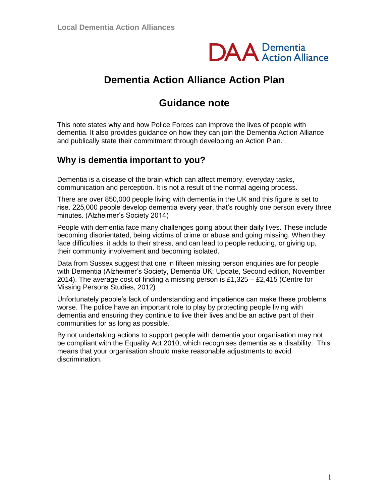

# **Dementia Action Alliance Action Plan**

# **Guidance note**

This note states why and how Police Forces can improve the lives of people with dementia. It also provides guidance on how they can join the Dementia Action Alliance and publically state their commitment through developing an Action Plan.

## **Why is dementia important to you?**

Dementia is a disease of the brain which can affect memory, everyday tasks, communication and perception. It is not a result of the normal ageing process.

There are over 850,000 people living with dementia in the UK and this figure is set to rise. 225,000 people develop dementia every year, that's roughly one person every three minutes. (Alzheimer's Society 2014)

People with dementia face many challenges going about their daily lives. These include becoming disorientated, being victims of crime or abuse and going missing. When they face difficulties, it adds to their stress, and can lead to people reducing, or giving up, their community involvement and becoming isolated.

Data from Sussex suggest that one in fifteen missing person enquiries are for people with Dementia (Alzheimer's Society, Dementia UK: Update, Second edition, November 2014). The average cost of finding a missing person is £1,325 – £2,415 (Centre for Missing Persons Studies, 2012)

Unfortunately people's lack of understanding and impatience can make these problems worse. The police have an important role to play by protecting people living with dementia and ensuring they continue to live their lives and be an active part of their communities for as long as possible.

By not undertaking actions to support people with dementia your organisation may not be compliant with the Equality Act 2010, which recognises dementia as a disability. This means that your organisation should make reasonable adjustments to avoid discrimination.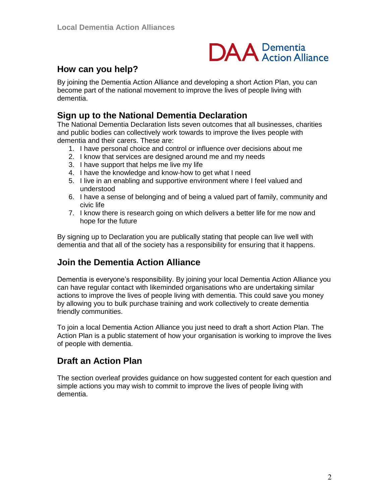

### **How can you help?**

By ioining the Dementia Action Alliance and developing a short Action Plan, you can become part of the national movement to improve the lives of people living with dementia.

#### **Sign up to the National Dementia Declaration**

The National Dementia Declaration lists seven outcomes that all businesses, charities and public bodies can collectively work towards to improve the lives people with dementia and their carers. These are:

- 1. I have personal choice and control or influence over decisions about me
- 2. I know that services are designed around me and my needs
- 3. I have support that helps me live my life
- 4. I have the knowledge and know-how to get what I need
- 5. I live in an enabling and supportive environment where I feel valued and understood
- 6. I have a sense of belonging and of being a valued part of family, community and civic life
- 7. I know there is research going on which delivers a better life for me now and hope for the future

By signing up to Declaration you are publically stating that people can live well with dementia and that all of the society has a responsibility for ensuring that it happens.

#### **Join the Dementia Action Alliance**

Dementia is everyone's responsibility. By joining your local Dementia Action Alliance you can have regular contact with likeminded organisations who are undertaking similar actions to improve the lives of people living with dementia. This could save you money by allowing you to bulk purchase training and work collectively to create dementia friendly communities.

To join a local Dementia Action Alliance you just need to draft a short Action Plan. The Action Plan is a public statement of how your organisation is working to improve the lives of people with dementia.

### **Draft an Action Plan**

The section overleaf provides guidance on how suggested content for each question and simple actions you may wish to commit to improve the lives of people living with dementia.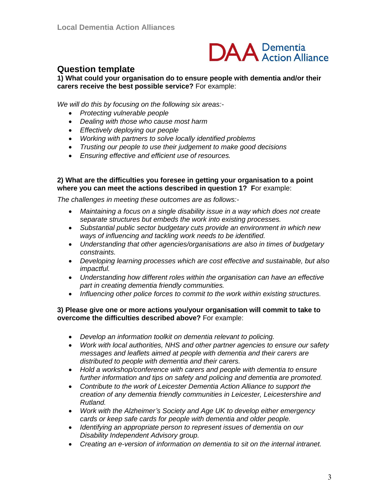

#### **Question template**

**1) What could your organisation do to ensure people with dementia and/or their carers receive the best possible service?** For example:

*We will do this by focusing on the following six areas:-*

- *Protecting vulnerable people*
- *Dealing with those who cause most harm*
- *Effectively deploying our people*
- *Working with partners to solve locally identified problems*
- *Trusting our people to use their judgement to make good decisions*
- *Ensuring effective and efficient use of resources.*

#### **2) What are the difficulties you foresee in getting your organisation to a point where you can meet the actions described in question 1? F**or example:

*The challenges in meeting these outcomes are as follows:-*

- *Maintaining a focus on a single disability issue in a way which does not create separate structures but embeds the work into existing processes.*
- *Substantial public sector budgetary cuts provide an environment in which new ways of influencing and tackling work needs to be identified.*
- *Understanding that other agencies/organisations are also in times of budgetary constraints.*
- *Developing learning processes which are cost effective and sustainable, but also impactful.*
- *Understanding how different roles within the organisation can have an effective part in creating dementia friendly communities.*
- *Influencing other police forces to commit to the work within existing structures.*

#### **3) Please give one or more actions you/your organisation will commit to take to overcome the difficulties described above?** For example:

- *Develop an information toolkit on dementia relevant to policing.*
- *Work with local authorities, NHS and other partner agencies to ensure our safety messages and leaflets aimed at people with dementia and their carers are distributed to people with dementia and their carers.*
- *Hold a workshop/conference with carers and people with dementia to ensure further information and tips on safety and policing and dementia are promoted.*
- *Contribute to the work of Leicester Dementia Action Alliance to support the creation of any dementia friendly communities in Leicester, Leicestershire and Rutland.*
- *Work with the Alzheimer's Society and Age UK to develop either emergency cards or keep safe cards for people with dementia and older people.*
- *Identifying an appropriate person to represent issues of dementia on our Disability Independent Advisory group.*
- *Creating an e-version of information on dementia to sit on the internal intranet.*